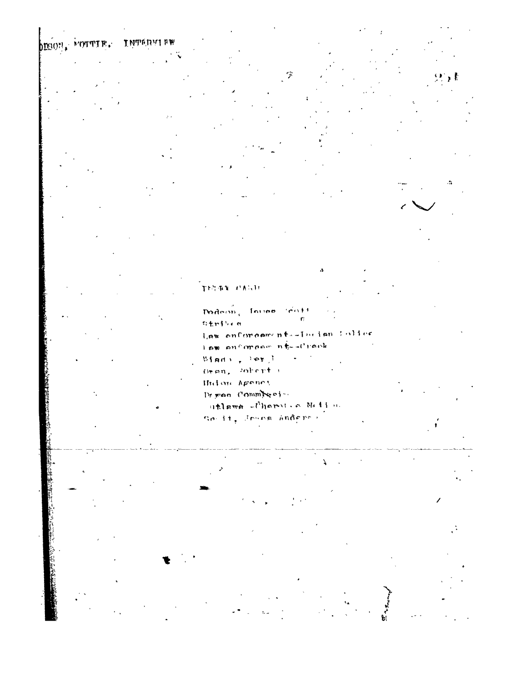**INTERVIEW** DIGON, MOTTLE.

TEGRY PAGE mdem, Inves Gott  $\mathbf{r}$ oteile a Law enforcements-Incientalies

lsw enforcem ni-drack Winds , lev J . . . . . Oven, soberts Hidme Ageney Brwan Committeel utland florit a Millon novit, Journ Anderson

7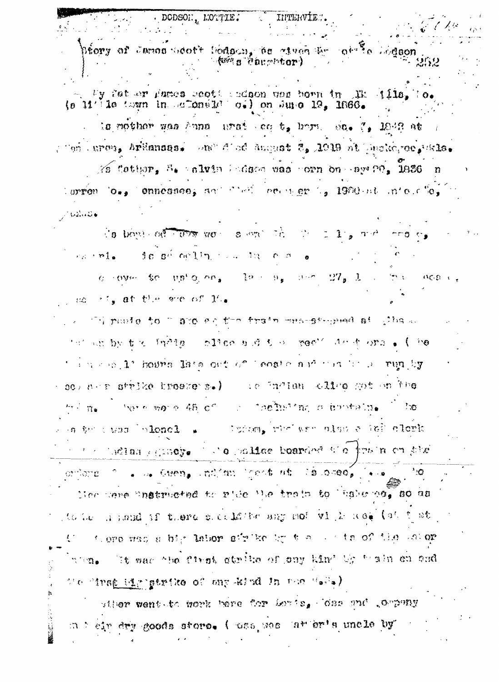$\%$  fother.  $\frac{3}{4}$  alvia ledges was corn on age  $\%$ . 1936  $\%$ lorron loss ennessees and their entrier is 1900 at intelling  $1.32.42$  $\sqrt{3}$  bond of  $\sqrt{67}$  and  $m$  such that  $\sqrt{2}$  is  $1/\sqrt{2}$  $r_{\rm d}$  ,  $r_{\rm d}$  ,  $r_{\rm d}$  ,  $r_{\rm d}$  ,  $r_{\rm d}$  ,  $r_{\rm d}$  ,  $r_{\rm d}$  ,  $r_{\rm d}$  ,  $r_{\rm d}$  ,  $r_{\rm d}$  ,  $r_{\rm d}$  ,  $r_{\rm d}$  ,  $r_{\rm d}$  ,  $r_{\rm d}$  ,  $r_{\rm d}$  ,  $r_{\rm d}$  ,  $r_{\rm d}$  ,  $r_{\rm d}$  ,  $r_{\rm d}$  ,  $r_{\rm d}$  ,  $\alpha$  cover for up  $\alpha$  and less  $\alpha_{\alpha}$  and  $\alpha_{\alpha}$  is  $\alpha_{\alpha}$  . in against se steat the areas lie we this posite to I Bio an the train meanstrepeat at what we thin which you to have the control of the control of the thing of the the top of the top of the top of the top thing and 1' hours late ont of leaste and that it is run by edformation and more all the except of the set of the ່ ທ່ານ ຫວ່າ 45 ເ^ິ່∴ "ລອໂນບີໃຊ້ວ່າ ອານ†ລັກຈູ່ ी छ  $\frac{1}{2}$   $\frac{1}{2}$   $\frac{1}{2}$   $\frac{1}{2}$   $\frac{1}{2}$   $\frac{1}{2}$   $\frac{1}{2}$   $\frac{1}{2}$   $\frac{1}{2}$   $\frac{1}{2}$   $\frac{1}{2}$   $\frac{1}{2}$   $\frac{1}{2}$   $\frac{1}{2}$   $\frac{1}{2}$   $\frac{1}{2}$   $\frac{1}{2}$   $\frac{1}{2}$   $\frac{1}{2}$   $\frac{1}{2}$   $\frac{1}{2}$   $\frac{1}{2}$  on the swap bolonel . The liming, who were olded a left closk where the later section of a solid control of the new state ordors for the Guent and an ideas as la case,  $\ddot{a}$  .  $\ddot{a}$ Nee care instructed to pide the train to have ne, so as to be a small of there succulated any not vill need (at that Comparison a big later sirike by the control discussed wons. It was the first strike of ony kin' by thain on ond (e "inse id now at he gen ho salved in the "sis") sther went to work here for Loris, loss ont , oppony at air dry goods store. ( uss, we take or's uncle by

By fat ex Fames section than non-horn in The ills. To.  $(a-11)^T$ le toun in actonéle oi) on Sure 19, 1866. la nothor was Anna. unat co t, hom, sa, f, 1942 at , Tan Jurey, Arkansas, Jon<sup>o</sup> Cloc Suquat 2, 1919 at Incluiree, Bals,

přory af Janas Sdot't Dodgon, be etvan Er at<sup>a§</sup>a Lodson **Ave a concept or )** 

INTERVIE.

. DODSON. MOTTIE.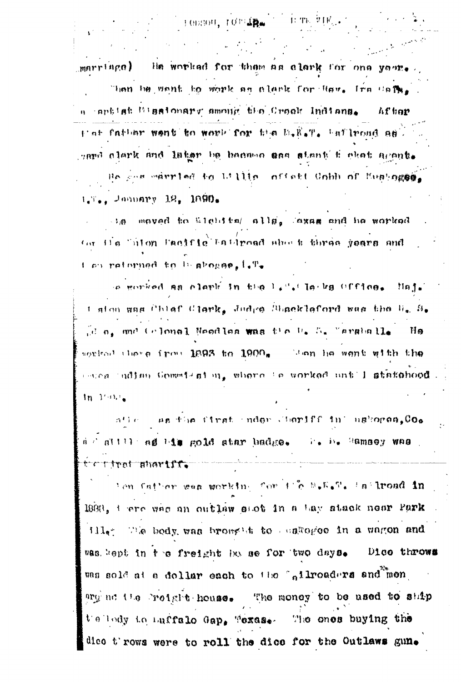$\label{eq:2.1} \frac{1}{\sqrt{2}}\left(\frac{1}{\sqrt{2}}\right)^{2}=\frac{1}{2}\left(\frac{1}{\sqrt{2}}\right)^{2}=\frac{1}{2}\left(\frac{1}{\sqrt{2}}\right)^{2}$ marriage) He worked for them as clerk for one year. Than he want to work as alark for Rov. Ira Cafe. a aphist hissionary among the Crock Indians. **Afhar** plat father went to work for the D.R.T. haflroad as. gard clark and later be because and stant fighet agents. Be gon married to U.I.I. offstt Unhh of Euningse L.T., January 12, 1890.

Henson, roman Contract in the wings of

 $\rightarrow$  3.8 moved to alonital allg. axas and he worked for the "uton Facific" battroad shown three years and t on retorned to be shopes. I.T.

in gorind as clark in the light leaks office. Haj, t alon aas Chlaf Clark, Judge Blacklaford was the U. S. d a, and Colonal Needles was the D. S. Marshall. Ha sorical there from 1893 to 1900. Ben he went with the esses uding Commission, where is worked until statehood. In Tone

ation as the first inder Coriff in askores. Co. d d allli ad him gold star badge. To he Ramaey was . tettrat shartff.

len fatter was working for the S.E.T. In Troad in 1998, tere was an outlaw stot in a tay stack near Park ille; The body was broaded to associac in a women and was bept in the freight has se for two days. Dico throws was sold at a dollar each to the "ailroaders and men argent the relative house. The money to be used to ship telledy to buffalo Gap. Texas. The ones buying the dice throws were to roll the dice for the Outlaws gun.